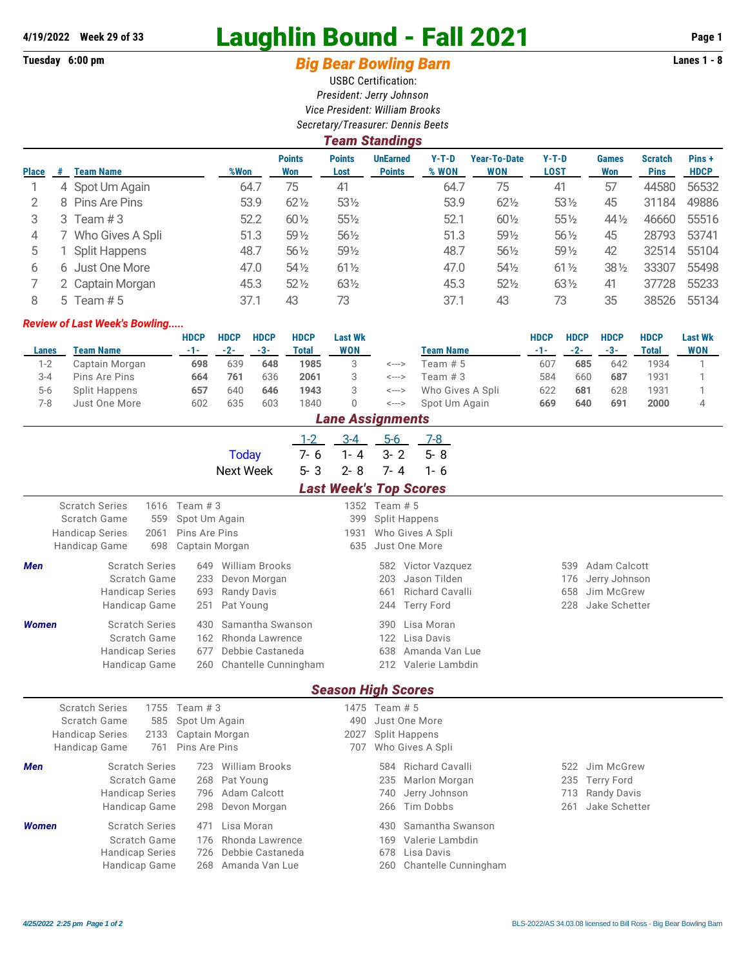## **4/19/2022 Week 29 of 33** Laughlin Bound - Fall 2021 **Page 1**

## Tuesday 6:00 pm **Big Bear Bowling Barn Barn Lanes 1 - 8**

USBC Certification: *President: Jerry Johnson Vice President: William Brooks Secretary/Treasurer: Dennis Beets*

|              | <b>Team Standings</b> |                      |      |                      |                       |                                  |                  |                                   |                        |                     |                               |                      |  |  |
|--------------|-----------------------|----------------------|------|----------------------|-----------------------|----------------------------------|------------------|-----------------------------------|------------------------|---------------------|-------------------------------|----------------------|--|--|
| <b>Place</b> | #                     | <b>Team Name</b>     | %Won | <b>Points</b><br>Won | <b>Points</b><br>Lost | <b>UnEarned</b><br><b>Points</b> | $Y-T-D$<br>% WON | <b>Year-To-Date</b><br><b>WON</b> | $Y-T-D$<br><b>LOST</b> | <b>Games</b><br>Won | <b>Scratch</b><br><b>Pins</b> | Pins+<br><b>HDCP</b> |  |  |
|              |                       | 4 Spot Um Again      | 64.7 | 75                   | 41                    |                                  | 64.7             | 75                                | 41                     | 57                  | 44580                         | 56532                |  |  |
| 2            |                       | 8 Pins Are Pins      | 53.9 | $62\frac{1}{2}$      | $53\frac{1}{2}$       |                                  | 53.9             | $62\frac{1}{2}$                   | $53\%$                 | 45                  | 31184                         | 49886                |  |  |
| 3            | 3.                    | Team #3              | 52.2 | $60\frac{1}{2}$      | $55\%$                |                                  | 52.1             | $60\frac{1}{2}$                   | $55\%$                 | $44\frac{1}{2}$     | 46660                         | 55516                |  |  |
| 4            |                       | Who Gives A Spli     | 51.3 | $59\%$               | $56\frac{1}{2}$       |                                  | 51.3             | 591/2                             | $56\frac{1}{2}$        | 45                  | 28793                         | 53741                |  |  |
| 5            |                       | <b>Split Happens</b> | 48.7 | $56\frac{1}{2}$      | 591/2                 |                                  | 48.7             | $56\frac{1}{2}$                   | 59 1/2                 | 42                  | 32514                         | 55104                |  |  |
| 6            | 6.                    | Just One More        | 47.0 | $54\%$               | $61\frac{1}{2}$       |                                  | 47.0             | $54\%$                            | $61\frac{1}{2}$        | $38\%$              | 33307                         | 55498                |  |  |
|              |                       | 2 Captain Morgan     | 45.3 | $52\%$               | $63\frac{1}{2}$       |                                  | 45.3             | $52\frac{1}{2}$                   | $63\frac{1}{2}$        | 41                  | 37728                         | 55233                |  |  |
| 8            |                       | 5 Team $# 5$         | 37.1 | 43                   | 73                    |                                  | 37.1             | 43                                | 73                     | 35                  | 38526                         | 55134                |  |  |

## *Review of Last Week's Bowling.....*

|         |                | HDCP | <b>HDCP</b> | <b>HDCP</b> | <b>HDCP</b> | <b>Last Wk</b>     |       |                  | <b>HDCP</b> | <b>HDCP</b> | <b>HDCP</b> | <b>HDCP</b> | <b>Last Wk</b> |
|---------|----------------|------|-------------|-------------|-------------|--------------------|-------|------------------|-------------|-------------|-------------|-------------|----------------|
| Lanes   | Team Name      | -1-1 | $-2-$       | -3-         | Total       | WON                |       | <b>Team Name</b> | $-1-$       | $-2-$       | -3-         | Total       | <b>WON</b>     |
| $1 - 2$ | Captain Morgan | 698  | 639         | 648         | 1985        |                    | <---> | Team # 5         | 607         | 685         | 642         | 1934        |                |
| $3 - 4$ | Pins Are Pins  | 664  | 761         | 636         | 2061        |                    | <---> | Team # 3         | 584         | 660         | 687         | 1931        |                |
| $5 - 6$ | Split Happens  | 657  | 640         | 646         | 1943        |                    | <---> | Who Gives A Spli | 622         | 681         | 628         | 1931        |                |
| 7-8     | Just One More  | 602  | 635         | 603         | 1840        |                    | <---> | Spot Um Again    | 669         | 640         | 691         | 2000        |                |
|         |                |      |             |             |             | l ana Accianmante. |       |                  |             |             |             |             |                |

|                                              | нан <del>с</del> мээгдшныгы |                       |                |                       |         |                               |               |                      |                        |     |                    |  |  |
|----------------------------------------------|-----------------------------|-----------------------|----------------|-----------------------|---------|-------------------------------|---------------|----------------------|------------------------|-----|--------------------|--|--|
|                                              |                             |                       |                |                       | $1 - 2$ | $3 - 4$                       | $5-6$         |                      | $7-8$                  |     |                    |  |  |
|                                              |                             |                       |                | <b>Today</b>          | $7 - 6$ | $1 - 4$                       | $3 - 2$       |                      | $5 - 8$                |     |                    |  |  |
|                                              |                             |                       |                | <b>Next Week</b>      | $5 - 3$ | $2 - 8$                       | $7 - 4$       |                      | $1 - 6$                |     |                    |  |  |
|                                              |                             |                       |                |                       |         | <b>Last Week's Top Scores</b> |               |                      |                        |     |                    |  |  |
|                                              | <b>Scratch Series</b>       |                       | 1616 Team # 3  |                       |         |                               | 1352 Team # 5 |                      |                        |     |                    |  |  |
|                                              | Scratch Game                | 559                   | Spot Um Again  |                       |         | 399                           |               | <b>Split Happens</b> |                        |     |                    |  |  |
|                                              | <b>Handicap Series</b>      | 2061                  | Pins Are Pins  |                       |         | 1931                          |               | Who Gives A Spli     |                        |     |                    |  |  |
|                                              | Handicap Game               | 698                   | Captain Morgan |                       |         | 635                           |               | Just One More        |                        |     |                    |  |  |
| Men                                          |                             | <b>Scratch Series</b> | 649            | <b>William Brooks</b> |         |                               | 582           |                      | Victor Vazquez         | 539 | Adam Calcott       |  |  |
|                                              |                             | Scratch Game          | 233            | Devon Morgan          |         |                               | 203           | Jason Tilden         |                        | 176 | Jerry Johnson      |  |  |
|                                              | <b>Handicap Series</b>      |                       | 693            | <b>Randy Davis</b>    |         |                               | 661           |                      | <b>Richard Cavalli</b> | 658 | Jim McGrew         |  |  |
|                                              |                             | Handicap Game         | 251            | Pat Young             |         |                               | 244           | <b>Terry Ford</b>    |                        | 228 | Jake Schetter      |  |  |
| <b>Women</b>                                 |                             | <b>Scratch Series</b> | 430            | Samantha Swanson      |         |                               | 390           | Lisa Moran           |                        |     |                    |  |  |
|                                              |                             | Scratch Game          | 162            | Rhonda Lawrence       |         |                               | 122           | Lisa Davis           |                        |     |                    |  |  |
|                                              | <b>Handicap Series</b>      |                       | 677            | Debbie Castaneda      |         |                               | 638           |                      | Amanda Van Lue         |     |                    |  |  |
| Chantelle Cunningham<br>Handicap Game<br>260 |                             |                       |                |                       |         |                               |               | 212 Valerie Lambdin  |                        |     |                    |  |  |
|                                              |                             |                       |                |                       |         | <b>Season High Scores</b>     |               |                      |                        |     |                    |  |  |
|                                              | <b>Scratch Series</b>       | 1755                  | Team $#3$      |                       |         |                               | 1475 Team # 5 |                      |                        |     |                    |  |  |
|                                              | Scratch Game                | 585                   | Spot Um Again  |                       |         | 490                           |               | Just One More        |                        |     |                    |  |  |
|                                              | <b>Handicap Series</b>      | 2133                  | Captain Morgan |                       |         | 2027                          |               | <b>Split Happens</b> |                        |     |                    |  |  |
|                                              | Handicap Game               | 761                   | Pins Are Pins  |                       |         | 707                           |               | Who Gives A Spli     |                        |     |                    |  |  |
| <b>Men</b>                                   |                             | <b>Scratch Series</b> | 723            | <b>William Brooks</b> |         |                               | 584           |                      | <b>Richard Cavalli</b> | 522 | Jim McGrew         |  |  |
|                                              |                             | Scratch Game          | 268            | Pat Young             |         |                               | 235           |                      | Marlon Morgan          | 235 | <b>Terry Ford</b>  |  |  |
|                                              | <b>Handicap Series</b>      |                       | 796            | Adam Calcott          |         |                               | 740           |                      | Jerry Johnson          | 713 | <b>Randy Davis</b> |  |  |
|                                              |                             | Handicap Game         | 298            | Devon Morgan          |         |                               | 266           | Tim Dobbs            |                        | 261 | Jake Schetter      |  |  |
|                                              |                             |                       |                |                       |         |                               |               |                      |                        |     |                    |  |  |
| <b>Women</b>                                 |                             | <b>Scratch Series</b> | 471            | Lisa Moran            |         |                               | 430           |                      | Samantha Swanson       |     |                    |  |  |
|                                              |                             | Scratch Game          | 176            | Rhonda Lawrence       |         |                               | 169           |                      | Valerie Lambdin        |     |                    |  |  |
|                                              | <b>Handicap Series</b>      |                       | 726            | Debbie Castaneda      |         |                               | 678           | Lisa Davis           |                        |     |                    |  |  |
|                                              |                             | Handicap Game         | 268            | Amanda Van Lue        |         |                               | 260           |                      | Chantelle Cunningham   |     |                    |  |  |